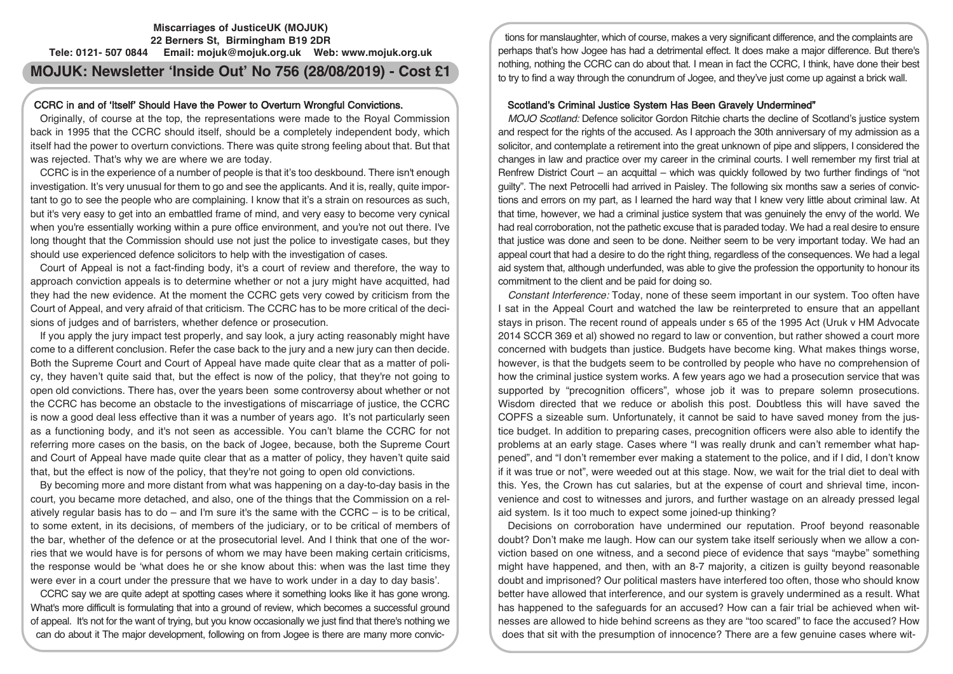# **Miscarriages of JusticeUK (MOJUK) 22 Berners St, Birmingham B19 2DR Tele: 0121- 507 0844 Email: mojuk@mojuk.org.uk Web: www.mojuk.org.uk**

# **MOJUK: Newsletter 'Inside Out' No 756 (28/08/2019) - Cost £1**

# CCRC in and of 'Itself' Should Have the Power to Overturn Wrongful Convictions.

Originally, of course at the top, the representations were made to the Royal Commission back in 1995 that the CCRC should itself, should be a completely independent body, which itself had the power to overturn convictions. There was quite strong feeling about that. But that was rejected. That's why we are where we are today.

CCRC is in the experience of a number of people is that it's too deskbound. There isn't enough investigation. It's very unusual for them to go and see the applicants. And it is, really, quite important to go to see the people who are complaining. I know that it's a strain on resources as such, but it's very easy to get into an embattled frame of mind, and very easy to become very cynical when you're essentially working within a pure office environment, and you're not out there. I've long thought that the Commission should use not just the police to investigate cases, but they should use experienced defence solicitors to help with the investigation of cases.

Court of Appeal is not a fact-finding body, it's a court of review and therefore, the way to approach conviction appeals is to determine whether or not a jury might have acquitted, had they had the new evidence. At the moment the CCRC gets very cowed by criticism from the Court of Appeal, and very afraid of that criticism. The CCRC has to be more critical of the decisions of judges and of barristers, whether defence or prosecution.

If you apply the jury impact test properly, and say look, a jury acting reasonably might have come to a different conclusion. Refer the case back to the jury and a new jury can then decide. Both the Supreme Court and Court of Appeal have made quite clear that as a matter of policy, they haven't quite said that, but the effect is now of the policy, that they're not going to open old convictions. There has, over the years been some controversy about whether or not the CCRC has become an obstacle to the investigations of miscarriage of justice, the CCRC is now a good deal less effective than it was a number of years ago. It's not particularly seen as a functioning body, and it's not seen as accessible. You can't blame the CCRC for not referring more cases on the basis, on the back of Jogee, because, both the Supreme Court and Court of Appeal have made quite clear that as a matter of policy, they haven't quite said that, but the effect is now of the policy, that they're not going to open old convictions.

By becoming more and more distant from what was happening on a day-to-day basis in the court, you became more detached, and also, one of the things that the Commission on a relatively regular basis has to do – and I'm sure it's the same with the CCRC – is to be critical, to some extent, in its decisions, of members of the judiciary, or to be critical of members of the bar, whether of the defence or at the prosecutorial level. And I think that one of the worries that we would have is for persons of whom we may have been making certain criticisms, the response would be 'what does he or she know about this: when was the last time they were ever in a court under the pressure that we have to work under in a day to day basis'.

CCRC say we are quite adept at spotting cases where it something looks like it has gone wrong. What's more difficult is formulating that into a ground of review, which becomes a successful ground of appeal. It's not for the want of trying, but you know occasionally we just find that there's nothing we can do about it The major development, following on from Jogee is there are many more convic-

tions for manslaughter, which of course, makes a very significant difference, and the complaints are perhaps that's how Jogee has had a detrimental effect. It does make a major difference. But there's nothing, nothing the CCRC can do about that. I mean in fact the CCRC, I think, have done their best to try to find a way through the conundrum of Jogee, and they've just come up against a brick wall.

# Scotland's Criminal Justice System Has Been Gravely Undermined"

MOJO Scotland: Defence solicitor Gordon Ritchie charts the decline of Scotland's justice system and respect for the rights of the accused. As I approach the 30th anniversary of my admission as a solicitor, and contemplate a retirement into the great unknown of pipe and slippers, I considered the changes in law and practice over my career in the criminal courts. I well remember my first trial at Renfrew District Court – an acquittal – which was quickly followed by two further findings of "not guilty". The next Petrocelli had arrived in Paisley. The following six months saw a series of convictions and errors on my part, as I learned the hard way that I knew very little about criminal law. At that time, however, we had a criminal justice system that was genuinely the envy of the world. We had real corroboration, not the pathetic excuse that is paraded today. We had a real desire to ensure that justice was done and seen to be done. Neither seem to be very important today. We had an appeal court that had a desire to do the right thing, regardless of the consequences. We had a legal aid system that, although underfunded, was able to give the profession the opportunity to honour its commitment to the client and be paid for doing so.

Constant Interference: Today, none of these seem important in our system. Too often have I sat in the Appeal Court and watched the law be reinterpreted to ensure that an appellant stays in prison. The recent round of appeals under s 65 of the 1995 Act (Uruk v HM Advocate 2014 SCCR 369 et al) showed no regard to law or convention, but rather showed a court more concerned with budgets than justice. Budgets have become king. What makes things worse, however, is that the budgets seem to be controlled by people who have no comprehension of how the criminal justice system works. A few years ago we had a prosecution service that was supported by "precognition officers", whose job it was to prepare solemn prosecutions. Wisdom directed that we reduce or abolish this post. Doubtless this will have saved the COPFS a sizeable sum. Unfortunately, it cannot be said to have saved money from the justice budget. In addition to preparing cases, precognition officers were also able to identify the problems at an early stage. Cases where "I was really drunk and can't remember what happened", and "I don't remember ever making a statement to the police, and if I did, I don't know if it was true or not", were weeded out at this stage. Now, we wait for the trial diet to deal with this. Yes, the Crown has cut salaries, but at the expense of court and shrieval time, inconvenience and cost to witnesses and jurors, and further wastage on an already pressed legal aid system. Is it too much to expect some joined-up thinking?

Decisions on corroboration have undermined our reputation. Proof beyond reasonable doubt? Don't make me laugh. How can our system take itself seriously when we allow a conviction based on one witness, and a second piece of evidence that says "maybe" something might have happened, and then, with an 8-7 majority, a citizen is guilty beyond reasonable doubt and imprisoned? Our political masters have interfered too often, those who should know better have allowed that interference, and our system is gravely undermined as a result. What has happened to the safeguards for an accused? How can a fair trial be achieved when witnesses are allowed to hide behind screens as they are "too scared" to face the accused? How does that sit with the presumption of innocence? There are a few genuine cases where wit-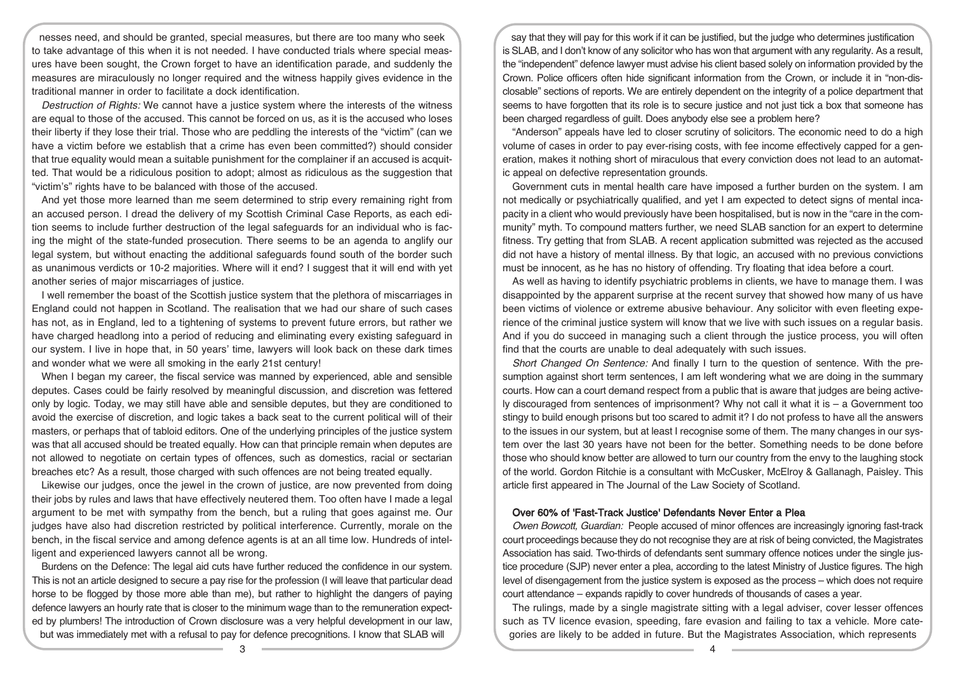nesses need, and should be granted, special measures, but there are too many who seek to take advantage of this when it is not needed. I have conducted trials where special measures have been sought, the Crown forget to have an identification parade, and suddenly the measures are miraculously no longer required and the witness happily gives evidence in the traditional manner in order to facilitate a dock identification.

Destruction of Rights: We cannot have a justice system where the interests of the witness are equal to those of the accused. This cannot be forced on us, as it is the accused who loses their liberty if they lose their trial. Those who are peddling the interests of the "victim" (can we have a victim before we establish that a crime has even been committed?) should consider that true equality would mean a suitable punishment for the complainer if an accused is acquitted. That would be a ridiculous position to adopt; almost as ridiculous as the suggestion that "victim's" rights have to be balanced with those of the accused.

And yet those more learned than me seem determined to strip every remaining right from an accused person. I dread the delivery of my Scottish Criminal Case Reports, as each edition seems to include further destruction of the legal safeguards for an individual who is facing the might of the state-funded prosecution. There seems to be an agenda to anglify our legal system, but without enacting the additional safeguards found south of the border such as unanimous verdicts or 10-2 majorities. Where will it end? I suggest that it will end with yet another series of major miscarriages of justice.

I well remember the boast of the Scottish justice system that the plethora of miscarriages in England could not happen in Scotland. The realisation that we had our share of such cases has not, as in England, led to a tightening of systems to prevent future errors, but rather we have charged headlong into a period of reducing and eliminating every existing safeguard in our system. I live in hope that, in 50 years' time, lawyers will look back on these dark times and wonder what we were all smoking in the early 21st century!

When I began my career, the fiscal service was manned by experienced, able and sensible deputes. Cases could be fairly resolved by meaningful discussion, and discretion was fettered only by logic. Today, we may still have able and sensible deputes, but they are conditioned to avoid the exercise of discretion, and logic takes a back seat to the current political will of their masters, or perhaps that of tabloid editors. One of the underlying principles of the justice system was that all accused should be treated equally. How can that principle remain when deputes are not allowed to negotiate on certain types of offences, such as domestics, racial or sectarian breaches etc? As a result, those charged with such offences are not being treated equally.

Likewise our judges, once the jewel in the crown of justice, are now prevented from doing their jobs by rules and laws that have effectively neutered them. Too often have I made a legal argument to be met with sympathy from the bench, but a ruling that goes against me. Our judges have also had discretion restricted by political interference. Currently, morale on the bench, in the fiscal service and among defence agents is at an all time low. Hundreds of intelligent and experienced lawyers cannot all be wrong.

Burdens on the Defence: The legal aid cuts have further reduced the confidence in our system. This is not an article designed to secure a pay rise for the profession (I will leave that particular dead horse to be flogged by those more able than me), but rather to highlight the dangers of paying defence lawyers an hourly rate that is closer to the minimum wage than to the remuneration expected by plumbers! The introduction of Crown disclosure was a very helpful development in our law, but was immediately met with a refusal to pay for defence precognitions. I know that SLAB will

say that they will pay for this work if it can be justified, but the judge who determines justification is SLAB, and I don't know of any solicitor who has won that argument with any regularity. As a result, the "independent" defence lawyer must advise his client based solely on information provided by the Crown. Police officers often hide significant information from the Crown, or include it in "non-disclosable" sections of reports. We are entirely dependent on the integrity of a police department that seems to have forgotten that its role is to secure justice and not just tick a box that someone has been charged regardless of guilt. Does anybody else see a problem here?

"Anderson" appeals have led to closer scrutiny of solicitors. The economic need to do a high volume of cases in order to pay ever-rising costs, with fee income effectively capped for a generation, makes it nothing short of miraculous that every conviction does not lead to an automatic appeal on defective representation grounds.

Government cuts in mental health care have imposed a further burden on the system. I am not medically or psychiatrically qualified, and yet I am expected to detect signs of mental incapacity in a client who would previously have been hospitalised, but is now in the "care in the community" myth. To compound matters further, we need SLAB sanction for an expert to determine fitness. Try getting that from SLAB. A recent application submitted was rejected as the accused did not have a history of mental illness. By that logic, an accused with no previous convictions must be innocent, as he has no history of offending. Try floating that idea before a court.

As well as having to identify psychiatric problems in clients, we have to manage them. I was disappointed by the apparent surprise at the recent survey that showed how many of us have been victims of violence or extreme abusive behaviour. Any solicitor with even fleeting experience of the criminal justice system will know that we live with such issues on a regular basis. And if you do succeed in managing such a client through the justice process, you will often find that the courts are unable to deal adequately with such issues.

Short Changed On Sentence: And finally I turn to the question of sentence. With the presumption against short term sentences, I am left wondering what we are doing in the summary courts. How can a court demand respect from a public that is aware that judges are being actively discouraged from sentences of imprisonment? Why not call it what it is – a Government too stingy to build enough prisons but too scared to admit it? I do not profess to have all the answers to the issues in our system, but at least I recognise some of them. The many changes in our system over the last 30 years have not been for the better. Something needs to be done before those who should know better are allowed to turn our country from the envy to the laughing stock of the world. Gordon Ritchie is a consultant with McCusker, McElroy & Gallanagh, Paisley. This article first appeared in The Journal of the Law Society of Scotland.

## Over 60% of 'Fast-Track Justice' Defendants Never Enter a Plea

Owen Bowcott, Guardian: People accused of minor offences are increasingly ignoring fast-track court proceedings because they do not recognise they are at risk of being convicted, the Magistrates Association has said. Two-thirds of defendants sent summary offence notices under the single justice procedure (SJP) never enter a plea, according to the latest Ministry of Justice figures. The high level of disengagement from the justice system is exposed as the process – which does not require court attendance – expands rapidly to cover hundreds of thousands of cases a year.

The rulings, made by a single magistrate sitting with a legal adviser, cover lesser offences such as TV licence evasion, speeding, fare evasion and failing to tax a vehicle. More categories are likely to be added in future. But the Magistrates Association, which represents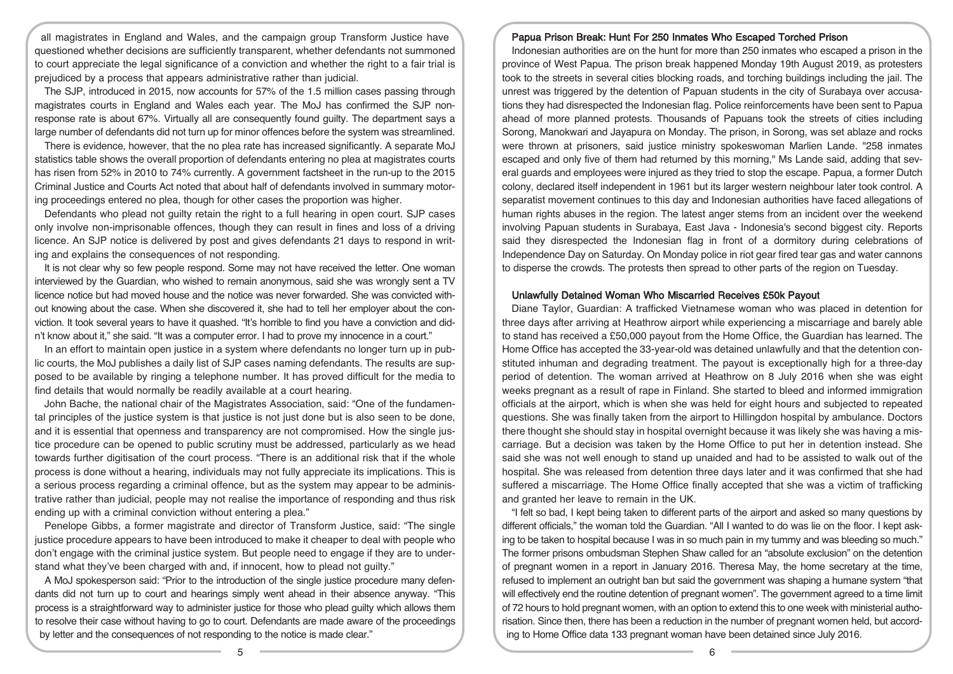all magistrates in England and Wales, and the campaign group Transform Justice have questioned whether decisions are sufficiently transparent, whether defendants not summoned to court appreciate the legal significance of a conviction and whether the right to a fair trial is prejudiced by a process that appears administrative rather than judicial.

The SJP, introduced in 2015, now accounts for 57% of the 1.5 million cases passing through magistrates courts in England and Wales each year. The MoJ has confirmed the SJP nonresponse rate is about 67%. Virtually all are consequently found guilty. The department says a large number of defendants did not turn up for minor offences before the system was streamlined.

There is evidence, however, that the no plea rate has increased significantly. A separate MoJ statistics table shows the overall proportion of defendants entering no plea at magistrates courts has risen from 52% in 2010 to 74% currently. A government factsheet in the run-up to the 2015 Criminal Justice and Courts Act noted that about half of defendants involved in summary motoring proceedings entered no plea, though for other cases the proportion was higher.

Defendants who plead not guilty retain the right to a full hearing in open court. SJP cases only involve non-imprisonable offences, though they can result in fines and loss of a driving licence. An SJP notice is delivered by post and gives defendants 21 days to respond in writing and explains the consequences of not responding.

It is not clear why so few people respond. Some may not have received the letter. One woman interviewed by the Guardian, who wished to remain anonymous, said she was wrongly sent a TV licence notice but had moved house and the notice was never forwarded. She was convicted without knowing about the case. When she discovered it, she had to tell her employer about the conviction. It took several years to have it quashed. "It's horrible to find you have a conviction and didn't know about it," she said. "It was a computer error. I had to prove my innocence in a court."

In an effort to maintain open justice in a system where defendants no longer turn up in public courts, the MoJ publishes a daily list of SJP cases naming defendants. The results are supposed to be available by ringing a telephone number. It has proved difficult for the media to find details that would normally be readily available at a court hearing.

John Bache, the national chair of the Magistrates Association, said: "One of the fundamental principles of the justice system is that justice is not just done but is also seen to be done, and it is essential that openness and transparency are not compromised. How the single justice procedure can be opened to public scrutiny must be addressed, particularly as we head towards further digitisation of the court process. "There is an additional risk that if the whole process is done without a hearing, individuals may not fully appreciate its implications. This is a serious process regarding a criminal offence, but as the system may appear to be administrative rather than judicial, people may not realise the importance of responding and thus risk ending up with a criminal conviction without entering a plea."

Penelope Gibbs, a former magistrate and director of Transform Justice, said: "The single justice procedure appears to have been introduced to make it cheaper to deal with people who don't engage with the criminal justice system. But people need to engage if they are to understand what they've been charged with and, if innocent, how to plead not guilty."

A MoJ spokesperson said: "Prior to the introduction of the single justice procedure many defendants did not turn up to court and hearings simply went ahead in their absence anyway. "This process is a straightforward way to administer justice for those who plead guilty which allows them to resolve their case without having to go to court. Defendants are made aware of the proceedings by letter and the consequences of not responding to the notice is made clear."

#### Papua Prison Break: Hunt For 250 Inmates Who Escaped Torched Prison

Indonesian authorities are on the hunt for more than 250 inmates who escaped a prison in the province of West Papua. The prison break happened Monday 19th August 2019, as protesters took to the streets in several cities blocking roads, and torching buildings including the jail. The unrest was triggered by the detention of Papuan students in the city of Surabaya over accusations they had disrespected the Indonesian flag. Police reinforcements have been sent to Papua ahead of more planned protests. Thousands of Papuans took the streets of cities including Sorong, Manokwari and Jayapura on Monday. The prison, in Sorong, was set ablaze and rocks were thrown at prisoners, said justice ministry spokeswoman Marlien Lande. "258 inmates escaped and only five of them had returned by this morning," Ms Lande said, adding that several guards and employees were injured as they tried to stop the escape. Papua, a former Dutch colony, declared itself independent in 1961 but its larger western neighbour later took control. A separatist movement continues to this day and Indonesian authorities have faced allegations of human rights abuses in the region. The latest anger stems from an incident over the weekend involving Papuan students in Surabaya, East Java - Indonesia's second biggest city. Reports said they disrespected the Indonesian flag in front of a dormitory during celebrations of Independence Day on Saturday. On Monday police in riot gear fired tear gas and water cannons to disperse the crowds. The protests then spread to other parts of the region on Tuesday.

#### Unlawfully Detained Woman Who Miscarried Receives £50k Payout

Diane Taylor, Guardian: A trafficked Vietnamese woman who was placed in detention for three days after arriving at Heathrow airport while experiencing a miscarriage and barely able to stand has received a £50,000 payout from the Home Office, the Guardian has learned. The Home Office has accepted the 33-year-old was detained unlawfully and that the detention constituted inhuman and degrading treatment. The payout is exceptionally high for a three-day period of detention. The woman arrived at Heathrow on 8 July 2016 when she was eight weeks pregnant as a result of rape in Finland. She started to bleed and informed immigration officials at the airport, which is when she was held for eight hours and subjected to repeated questions. She was finally taken from the airport to Hillingdon hospital by ambulance. Doctors there thought she should stay in hospital overnight because it was likely she was having a miscarriage. But a decision was taken by the Home Office to put her in detention instead. She said she was not well enough to stand up unaided and had to be assisted to walk out of the hospital. She was released from detention three days later and it was confirmed that she had suffered a miscarriage. The Home Office finally accepted that she was a victim of trafficking and granted her leave to remain in the UK.

"I felt so bad, I kept being taken to different parts of the airport and asked so many questions by different officials," the woman told the Guardian. "All I wanted to do was lie on the floor. I kept asking to be taken to hospital because I was in so much pain in my tummy and was bleeding so much." The former prisons ombudsman Stephen Shaw called for an "absolute exclusion" on the detention of pregnant women in a report in January 2016. Theresa May, the home secretary at the time, refused to implement an outright ban but said the government was shaping a humane system "that will effectively end the routine detention of pregnant women". The government agreed to a time limit of 72 hours to hold pregnant women, with an option to extend this to one week with ministerial authorisation. Since then, there has been a reduction in the number of pregnant women held, but according to Home Office data 133 pregnant woman have been detained since July 2016.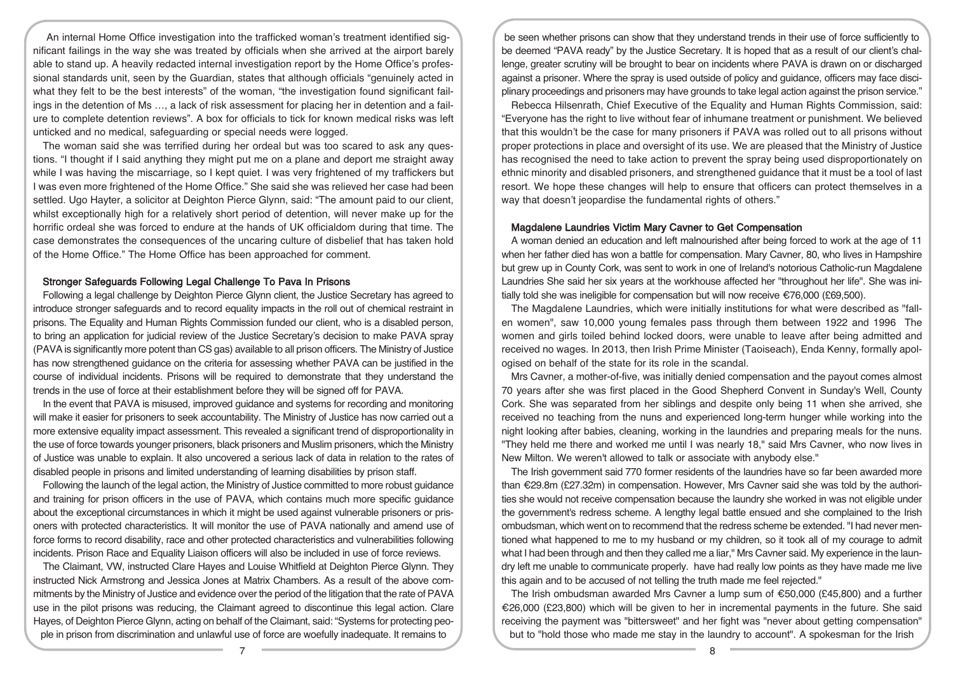An internal Home Office investigation into the trafficked woman's treatment identified significant failings in the way she was treated by officials when she arrived at the airport barely able to stand up. A heavily redacted internal investigation report by the Home Office's professional standards unit, seen by the Guardian, states that although officials "genuinely acted in what they felt to be the best interests" of the woman, "the investigation found significant failings in the detention of Ms …, a lack of risk assessment for placing her in detention and a failure to complete detention reviews". A box for officials to tick for known medical risks was left unticked and no medical, safeguarding or special needs were logged.

The woman said she was terrified during her ordeal but was too scared to ask any questions. "I thought if I said anything they might put me on a plane and deport me straight away while I was having the miscarriage, so I kept quiet. I was very frightened of my traffickers but I was even more frightened of the Home Office." She said she was relieved her case had been settled. Ugo Hayter, a solicitor at Deighton Pierce Glynn, said: "The amount paid to our client, whilst exceptionally high for a relatively short period of detention, will never make up for the horrific ordeal she was forced to endure at the hands of UK officialdom during that time. The case demonstrates the consequences of the uncaring culture of disbelief that has taken hold of the Home Office." The Home Office has been approached for comment.

## Stronger Safeguards Following Legal Challenge To Pava In Prisons

Following a legal challenge by Deighton Pierce Glynn client, the Justice Secretary has agreed to introduce stronger safeguards and to record equality impacts in the roll out of chemical restraint in prisons. The Equality and Human Rights Commission funded our client, who is a disabled person, to bring an application for judicial review of the Justice Secretary's decision to make PAVA spray (PAVA is significantly more potent than CS gas) available to all prison officers. The Ministry of Justice has now strengthened guidance on the criteria for assessing whether PAVA can be justified in the course of individual incidents. Prisons will be required to demonstrate that they understand the trends in the use of force at their establishment before they will be signed off for PAVA.

In the event that PAVA is misused, improved guidance and systems for recording and monitoring will make it easier for prisoners to seek accountability. The Ministry of Justice has now carried out a more extensive equality impact assessment. This revealed a significant trend of disproportionality in the use of force towards younger prisoners, black prisoners and Muslim prisoners, which the Ministry of Justice was unable to explain. It also uncovered a serious lack of data in relation to the rates of disabled people in prisons and limited understanding of learning disabilities by prison staff.

Following the launch of the legal action, the Ministry of Justice committed to more robust guidance and training for prison officers in the use of PAVA, which contains much more specific guidance about the exceptional circumstances in which it might be used against vulnerable prisoners or prisoners with protected characteristics. It will monitor the use of PAVA nationally and amend use of force forms to record disability, race and other protected characteristics and vulnerabilities following incidents. Prison Race and Equality Liaison officers will also be included in use of force reviews.

The Claimant, VW, instructed Clare Hayes and Louise Whitfield at Deighton Pierce Glynn. They instructed Nick Armstrong and Jessica Jones at Matrix Chambers. As a result of the above commitments by the Ministry of Justice and evidence over the period of the litigation that the rate of PAVA use in the pilot prisons was reducing, the Claimant agreed to discontinue this legal action. Clare Hayes, of Deighton Pierce Glynn, acting on behalf of the Claimant, said: "Systems for protecting people in prison from discrimination and unlawful use of force are woefully inadequate. It remains to

be seen whether prisons can show that they understand trends in their use of force sufficiently to be deemed "PAVA ready" by the Justice Secretary. It is hoped that as a result of our client's challenge, greater scrutiny will be brought to bear on incidents where PAVA is drawn on or discharged against a prisoner. Where the spray is used outside of policy and guidance, officers may face disciplinary proceedings and prisoners may have grounds to take legal action against the prison service."

Rebecca Hilsenrath, Chief Executive of the Equality and Human Rights Commission, said: "Everyone has the right to live without fear of inhumane treatment or punishment. We believed that this wouldn't be the case for many prisoners if PAVA was rolled out to all prisons without proper protections in place and oversight of its use. We are pleased that the Ministry of Justice has recognised the need to take action to prevent the spray being used disproportionately on ethnic minority and disabled prisoners, and strengthened guidance that it must be a tool of last resort. We hope these changes will help to ensure that officers can protect themselves in a way that doesn't jeopardise the fundamental rights of others."

#### Magdalene Laundries Victim Mary Cavner to Get Compensation

A woman denied an education and left malnourished after being forced to work at the age of 11 when her father died has won a battle for compensation. Mary Cavner, 80, who lives in Hampshire but grew up in County Cork, was sent to work in one of Ireland's notorious Catholic-run Magdalene Laundries She said her six years at the workhouse affected her "throughout her life". She was initially told she was ineligible for compensation but will now receive €76,000 (£69,500).

The Magdalene Laundries, which were initially institutions for what were described as "fallen women", saw 10,000 young females pass through them between 1922 and 1996 The women and girls toiled behind locked doors, were unable to leave after being admitted and received no wages. In 2013, then Irish Prime Minister (Taoiseach), Enda Kenny, formally apologised on behalf of the state for its role in the scandal.

Mrs Cavner, a mother-of-five, was initially denied compensation and the payout comes almost 70 years after she was first placed in the Good Shepherd Convent in Sunday's Well, County Cork. She was separated from her siblings and despite only being 11 when she arrived, she received no teaching from the nuns and experienced long-term hunger while working into the night looking after babies, cleaning, working in the laundries and preparing meals for the nuns. "They held me there and worked me until I was nearly 18," said Mrs Cavner, who now lives in New Milton. We weren't allowed to talk or associate with anybody else."

The Irish government said 770 former residents of the laundries have so far been awarded more than €29.8m (£27.32m) in compensation. However, Mrs Cavner said she was told by the authorities she would not receive compensation because the laundry she worked in was not eligible under the government's redress scheme. A lengthy legal battle ensued and she complained to the Irish ombudsman, which went on to recommend that the redress scheme be extended. "I had never mentioned what happened to me to my husband or my children, so it took all of my courage to admit what I had been through and then they called me a liar," Mrs Cavner said. My experience in the laundry left me unable to communicate properly. have had really low points as they have made me live this again and to be accused of not telling the truth made me feel rejected."

The Irish ombudsman awarded Mrs Cavner a lump sum of  $\epsilon$ 50,000 (£45,800) and a further €26,000 (£23,800) which will be given to her in incremental payments in the future. She said receiving the payment was "bittersweet" and her fight was "never about getting compensation" but to "hold those who made me stay in the laundry to account". A spokesman for the Irish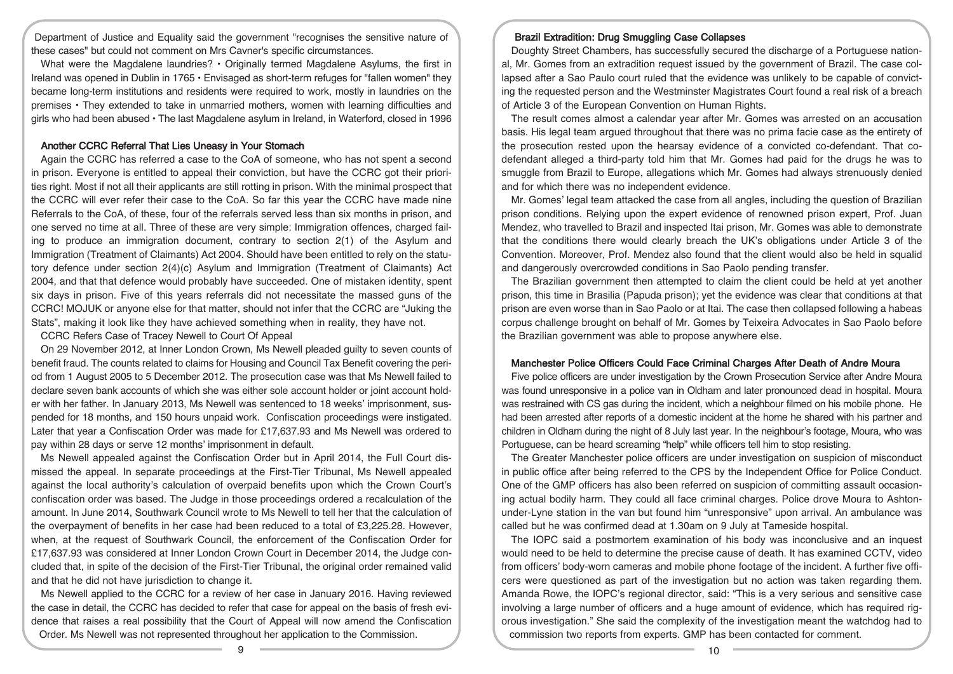Department of Justice and Equality said the government "recognises the sensitive nature of these cases" but could not comment on Mrs Cavner's specific circumstances.

What were the Magdalene laundries? • Originally termed Magdalene Asylums, the first in Ireland was opened in Dublin in 1765 • Envisaged as short-term refuges for "fallen women" they became long-term institutions and residents were required to work, mostly in laundries on the premises • They extended to take in unmarried mothers, women with learning difficulties and girls who had been abused • The last Magdalene asylum in Ireland, in Waterford, closed in 1996

## Another CCRC Referral That Lies Uneasy in Your Stomach

Again the CCRC has referred a case to the CoA of someone, who has not spent a second in prison. Everyone is entitled to appeal their conviction, but have the CCRC got their priorities right. Most if not all their applicants are still rotting in prison. With the minimal prospect that the CCRC will ever refer their case to the CoA. So far this year the CCRC have made nine Referrals to the CoA, of these, four of the referrals served less than six months in prison, and one served no time at all. Three of these are very simple: Immigration offences, charged failing to produce an immigration document, contrary to section 2(1) of the Asylum and Immigration (Treatment of Claimants) Act 2004. Should have been entitled to rely on the statutory defence under section 2(4)(c) Asylum and Immigration (Treatment of Claimants) Act 2004, and that that defence would probably have succeeded. One of mistaken identity, spent six days in prison. Five of this years referrals did not necessitate the massed guns of the CCRC! MOJUK or anyone else for that matter, should not infer that the CCRC are "Juking the Stats", making it look like they have achieved something when in reality, they have not.

CCRC Refers Case of Tracey Newell to Court Of Appeal

On 29 November 2012, at Inner London Crown, Ms Newell pleaded guilty to seven counts of benefit fraud. The counts related to claims for Housing and Council Tax Benefit covering the period from 1 August 2005 to 5 December 2012. The prosecution case was that Ms Newell failed to declare seven bank accounts of which she was either sole account holder or joint account holder with her father. In January 2013, Ms Newell was sentenced to 18 weeks' imprisonment, suspended for 18 months, and 150 hours unpaid work. Confiscation proceedings were instigated. Later that year a Confiscation Order was made for £17,637.93 and Ms Newell was ordered to pay within 28 days or serve 12 months' imprisonment in default.

Ms Newell appealed against the Confiscation Order but in April 2014, the Full Court dismissed the appeal. In separate proceedings at the First-Tier Tribunal, Ms Newell appealed against the local authority's calculation of overpaid benefits upon which the Crown Court's confiscation order was based. The Judge in those proceedings ordered a recalculation of the amount. In June 2014, Southwark Council wrote to Ms Newell to tell her that the calculation of the overpayment of benefits in her case had been reduced to a total of £3,225.28. However, when, at the request of Southwark Council, the enforcement of the Confiscation Order for £17,637.93 was considered at Inner London Crown Court in December 2014, the Judge concluded that, in spite of the decision of the First-Tier Tribunal, the original order remained valid and that he did not have jurisdiction to change it.

Ms Newell applied to the CCRC for a review of her case in January 2016. Having reviewed the case in detail, the CCRC has decided to refer that case for appeal on the basis of fresh evidence that raises a real possibility that the Court of Appeal will now amend the Confiscation Order. Ms Newell was not represented throughout her application to the Commission.

## Brazil Extradition: Drug Smuggling Case Collapses

Doughty Street Chambers, has successfully secured the discharge of a Portuguese national, Mr. Gomes from an extradition request issued by the government of Brazil. The case collapsed after a Sao Paulo court ruled that the evidence was unlikely to be capable of convicting the requested person and the Westminster Magistrates Court found a real risk of a breach of Article 3 of the European Convention on Human Rights.

The result comes almost a calendar year after Mr. Gomes was arrested on an accusation basis. His legal team argued throughout that there was no prima facie case as the entirety of the prosecution rested upon the hearsay evidence of a convicted co-defendant. That codefendant alleged a third-party told him that Mr. Gomes had paid for the drugs he was to smuggle from Brazil to Europe, allegations which Mr. Gomes had always strenuously denied and for which there was no independent evidence.

Mr. Gomes' legal team attacked the case from all angles, including the question of Brazilian prison conditions. Relying upon the expert evidence of renowned prison expert, Prof. Juan Mendez, who travelled to Brazil and inspected Itai prison, Mr. Gomes was able to demonstrate that the conditions there would clearly breach the UK's obligations under Article 3 of the Convention. Moreover, Prof. Mendez also found that the client would also be held in squalid and dangerously overcrowded conditions in Sao Paolo pending transfer.

The Brazilian government then attempted to claim the client could be held at yet another prison, this time in Brasilia (Papuda prison); yet the evidence was clear that conditions at that prison are even worse than in Sao Paolo or at Itai. The case then collapsed following a habeas corpus challenge brought on behalf of Mr. Gomes by Teixeira Advocates in Sao Paolo before the Brazilian government was able to propose anywhere else.

#### Manchester Police Officers Could Face Criminal Charges After Death of Andre Moura

Five police officers are under investigation by the Crown Prosecution Service after Andre Moura was found unresponsive in a police van in Oldham and later pronounced dead in hospital. Moura was restrained with CS gas during the incident, which a neighbour filmed on his mobile phone. He had been arrested after reports of a domestic incident at the home he shared with his partner and children in Oldham during the night of 8 July last year. In the neighbour's footage, Moura, who was Portuguese, can be heard screaming "help" while officers tell him to stop resisting.

The Greater Manchester police officers are under investigation on suspicion of misconduct in public office after being referred to the CPS by the Independent Office for Police Conduct. One of the GMP officers has also been referred on suspicion of committing assault occasioning actual bodily harm. They could all face criminal charges. Police drove Moura to Ashtonunder-Lyne station in the van but found him "unresponsive" upon arrival. An ambulance was called but he was confirmed dead at 1.30am on 9 July at Tameside hospital.

The IOPC said a postmortem examination of his body was inconclusive and an inquest would need to be held to determine the precise cause of death. It has examined CCTV, video from officers' body-worn cameras and mobile phone footage of the incident. A further five officers were questioned as part of the investigation but no action was taken regarding them. Amanda Rowe, the IOPC's regional director, said: "This is a very serious and sensitive case involving a large number of officers and a huge amount of evidence, which has required rigorous investigation." She said the complexity of the investigation meant the watchdog had to commission two reports from experts. GMP has been contacted for comment.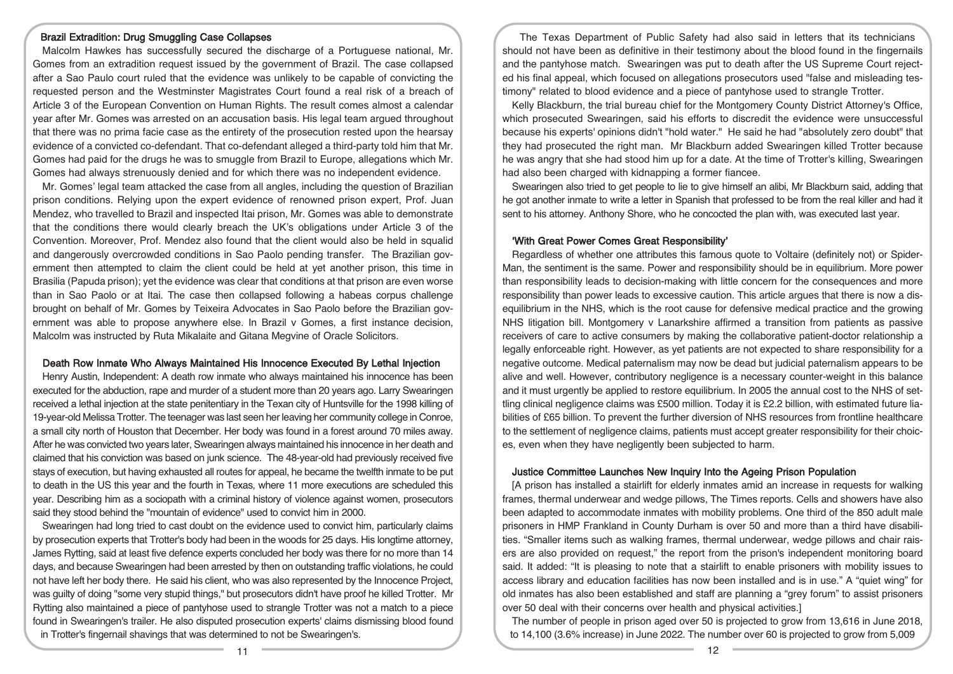## Brazil Extradition: Drug Smuggling Case Collapses

Malcolm Hawkes has successfully secured the discharge of a Portuguese national, Mr. Gomes from an extradition request issued by the government of Brazil. The case collapsed after a Sao Paulo court ruled that the evidence was unlikely to be capable of convicting the requested person and the Westminster Magistrates Court found a real risk of a breach of Article 3 of the European Convention on Human Rights. The result comes almost a calendar year after Mr. Gomes was arrested on an accusation basis. His legal team argued throughout that there was no prima facie case as the entirety of the prosecution rested upon the hearsay evidence of a convicted co-defendant. That co-defendant alleged a third-party told him that Mr. Gomes had paid for the drugs he was to smuggle from Brazil to Europe, allegations which Mr. Gomes had always strenuously denied and for which there was no independent evidence.

Mr. Gomes' legal team attacked the case from all angles, including the question of Brazilian prison conditions. Relying upon the expert evidence of renowned prison expert, Prof. Juan Mendez, who travelled to Brazil and inspected Itai prison, Mr. Gomes was able to demonstrate that the conditions there would clearly breach the UK's obligations under Article 3 of the Convention. Moreover, Prof. Mendez also found that the client would also be held in squalid and dangerously overcrowded conditions in Sao Paolo pending transfer. The Brazilian government then attempted to claim the client could be held at yet another prison, this time in Brasilia (Papuda prison); yet the evidence was clear that conditions at that prison are even worse than in Sao Paolo or at Itai. The case then collapsed following a habeas corpus challenge brought on behalf of Mr. Gomes by Teixeira Advocates in Sao Paolo before the Brazilian government was able to propose anywhere else. In Brazil v Gomes, a first instance decision, Malcolm was instructed by Ruta Mikalaite and Gitana Megvine of Oracle Solicitors.

### Death Row Inmate Who Always Maintained His Innocence Executed By Lethal Injection

Henry Austin, Independent: A death row inmate who always maintained his innocence has been executed for the abduction, rape and murder of a student more than 20 years ago. Larry Swearingen received a lethal injection at the state penitentiary in the Texan city of Huntsville for the 1998 killing of 19-year-old Melissa Trotter. The teenager was last seen her leaving her community college in Conroe, a small city north of Houston that December. Her body was found in a forest around 70 miles away. After he was convicted two years later, Swearingen always maintained his innocence in her death and claimed that his conviction was based on junk science. The 48-year-old had previously received five stays of execution, but having exhausted all routes for appeal, he became the twelfth inmate to be put to death in the US this year and the fourth in Texas, where 11 more executions are scheduled this year. Describing him as a sociopath with a criminal history of violence against women, prosecutors said they stood behind the "mountain of evidence" used to convict him in 2000.

Swearingen had long tried to cast doubt on the evidence used to convict him, particularly claims by prosecution experts that Trotter's body had been in the woods for 25 days. His longtime attorney, James Rytting, said at least five defence experts concluded her body was there for no more than 14 days, and because Swearingen had been arrested by then on outstanding traffic violations, he could not have left her body there. He said his client, who was also represented by the Innocence Project, was quilty of doing "some very stupid things," but prosecutors didn't have proof he killed Trotter. Mr Rytting also maintained a piece of pantyhose used to strangle Trotter was not a match to a piece found in Swearingen's trailer. He also disputed prosecution experts' claims dismissing blood found in Trotter's fingernail shavings that was determined to not be Swearingen's.

The Texas Department of Public Safety had also said in letters that its technicians should not have been as definitive in their testimony about the blood found in the fingernails and the pantyhose match. Swearingen was put to death after the US Supreme Court rejected his final appeal, which focused on allegations prosecutors used "false and misleading testimony" related to blood evidence and a piece of pantyhose used to strangle Trotter.

Kelly Blackburn, the trial bureau chief for the Montgomery County District Attorney's Office, which prosecuted Swearingen, said his efforts to discredit the evidence were unsuccessful because his experts' opinions didn't "hold water." He said he had "absolutely zero doubt" that they had prosecuted the right man. Mr Blackburn added Swearingen killed Trotter because he was angry that she had stood him up for a date. At the time of Trotter's killing, Swearingen had also been charged with kidnapping a former fiancee.

Swearingen also tried to get people to lie to give himself an alibi, Mr Blackburn said, adding that he got another inmate to write a letter in Spanish that professed to be from the real killer and had it sent to his attorney. Anthony Shore, who he concocted the plan with, was executed last year.

### 'With Great Power Comes Great Responsibility'

Regardless of whether one attributes this famous quote to Voltaire (definitely not) or Spider-Man, the sentiment is the same. Power and responsibility should be in equilibrium. More power than responsibility leads to decision-making with little concern for the consequences and more responsibility than power leads to excessive caution. This article argues that there is now a disequilibrium in the NHS, which is the root cause for defensive medical practice and the growing NHS litigation bill. Montgomery v Lanarkshire affirmed a transition from patients as passive receivers of care to active consumers by making the collaborative patient-doctor relationship a legally enforceable right. However, as yet patients are not expected to share responsibility for a negative outcome. Medical paternalism may now be dead but judicial paternalism appears to be alive and well. However, contributory negligence is a necessary counter-weight in this balance and it must urgently be applied to restore equilibrium. In 2005 the annual cost to the NHS of settling clinical negligence claims was £500 million. Today it is £2.2 billion, with estimated future liabilities of £65 billion. To prevent the further diversion of NHS resources from frontline healthcare to the settlement of negligence claims, patients must accept greater responsibility for their choices, even when they have negligently been subjected to harm.

#### Justice Committee Launches New Inquiry Into the Ageing Prison Population

[A prison has installed a stairlift for elderly inmates amid an increase in requests for walking frames, thermal underwear and wedge pillows, The Times reports. Cells and showers have also been adapted to accommodate inmates with mobility problems. One third of the 850 adult male prisoners in HMP Frankland in County Durham is over 50 and more than a third have disabilities. "Smaller items such as walking frames, thermal underwear, wedge pillows and chair raisers are also provided on request," the report from the prison's independent monitoring board said. It added: "It is pleasing to note that a stairlift to enable prisoners with mobility issues to access library and education facilities has now been installed and is in use." A "quiet wing" for old inmates has also been established and staff are planning a "grey forum" to assist prisoners over 50 deal with their concerns over health and physical activities.]

The number of people in prison aged over 50 is projected to grow from 13,616 in June 2018, to 14,100 (3.6% increase) in June 2022. The number over 60 is projected to grow from 5,009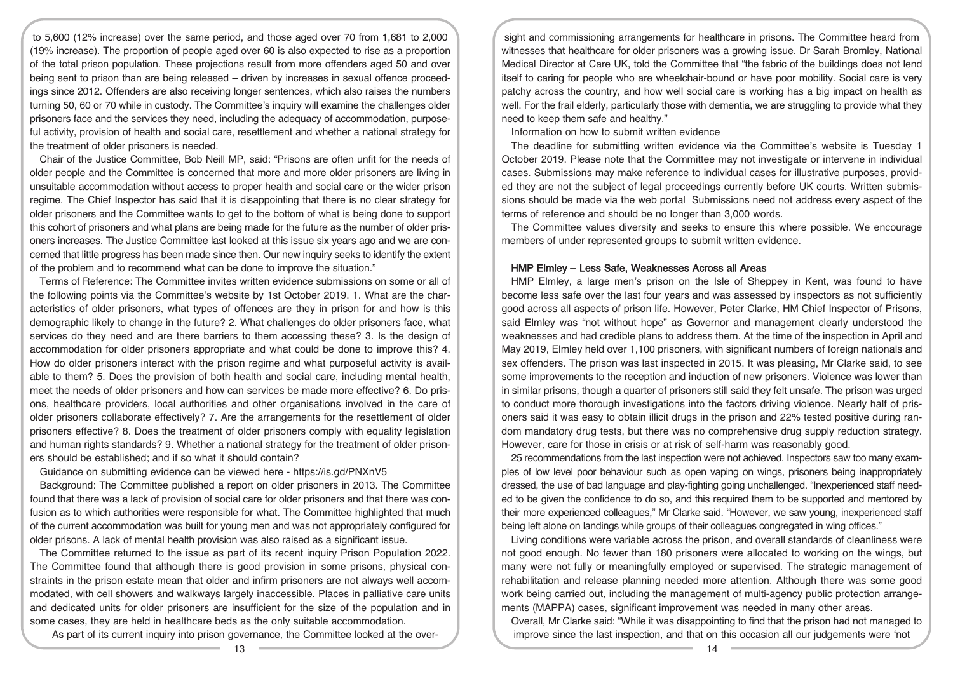to 5,600 (12% increase) over the same period, and those aged over 70 from 1,681 to 2,000 (19% increase). The proportion of people aged over 60 is also expected to rise as a proportion of the total prison population. These projections result from more offenders aged 50 and over being sent to prison than are being released – driven by increases in sexual offence proceedings since 2012. Offenders are also receiving longer sentences, which also raises the numbers turning 50, 60 or 70 while in custody. The Committee's inquiry will examine the challenges older prisoners face and the services they need, including the adequacy of accommodation, purposeful activity, provision of health and social care, resettlement and whether a national strategy for the treatment of older prisoners is needed.

Chair of the Justice Committee, Bob Neill MP, said: "Prisons are often unfit for the needs of older people and the Committee is concerned that more and more older prisoners are living in unsuitable accommodation without access to proper health and social care or the wider prison regime. The Chief Inspector has said that it is disappointing that there is no clear strategy for older prisoners and the Committee wants to get to the bottom of what is being done to support this cohort of prisoners and what plans are being made for the future as the number of older prisoners increases. The Justice Committee last looked at this issue six years ago and we are concerned that little progress has been made since then. Our new inquiry seeks to identify the extent of the problem and to recommend what can be done to improve the situation."

Terms of Reference: The Committee invites written evidence submissions on some or all of the following points via the Committee's website by 1st October 2019. 1. What are the characteristics of older prisoners, what types of offences are they in prison for and how is this demographic likely to change in the future? 2. What challenges do older prisoners face, what services do they need and are there barriers to them accessing these? 3. Is the design of accommodation for older prisoners appropriate and what could be done to improve this? 4. How do older prisoners interact with the prison regime and what purposeful activity is available to them? 5. Does the provision of both health and social care, including mental health, meet the needs of older prisoners and how can services be made more effective? 6. Do prisons, healthcare providers, local authorities and other organisations involved in the care of older prisoners collaborate effectively? 7. Are the arrangements for the resettlement of older prisoners effective? 8. Does the treatment of older prisoners comply with equality legislation and human rights standards? 9. Whether a national strategy for the treatment of older prisoners should be established; and if so what it should contain?

Guidance on submitting evidence can be viewed here - https://is.gd/PNXnV5

Background: The Committee published a report on older prisoners in 2013. The Committee found that there was a lack of provision of social care for older prisoners and that there was confusion as to which authorities were responsible for what. The Committee highlighted that much of the current accommodation was built for young men and was not appropriately configured for older prisons. A lack of mental health provision was also raised as a significant issue.

The Committee returned to the issue as part of its recent inquiry Prison Population 2022. The Committee found that although there is good provision in some prisons, physical constraints in the prison estate mean that older and infirm prisoners are not always well accommodated, with cell showers and walkways largely inaccessible. Places in palliative care units and dedicated units for older prisoners are insufficient for the size of the population and in some cases, they are held in healthcare beds as the only suitable accommodation.

As part of its current inquiry into prison governance, the Committee looked at the over-

sight and commissioning arrangements for healthcare in prisons. The Committee heard from witnesses that healthcare for older prisoners was a growing issue. Dr Sarah Bromley, National Medical Director at Care UK, told the Committee that "the fabric of the buildings does not lend itself to caring for people who are wheelchair-bound or have poor mobility. Social care is very patchy across the country, and how well social care is working has a big impact on health as well. For the frail elderly, particularly those with dementia, we are struggling to provide what they need to keep them safe and healthy."

Information on how to submit written evidence

The deadline for submitting written evidence via the Committee's website is Tuesday 1 October 2019. Please note that the Committee may not investigate or intervene in individual cases. Submissions may make reference to individual cases for illustrative purposes, provided they are not the subject of legal proceedings currently before UK courts. Written submissions should be made via the web portal Submissions need not address every aspect of the terms of reference and should be no longer than 3,000 words.

The Committee values diversity and seeks to ensure this where possible. We encourage members of under represented groups to submit written evidence.

#### HMP Elmley – Less Safe, Weaknesses Across all Areas

HMP Elmley, a large men's prison on the Isle of Sheppey in Kent, was found to have become less safe over the last four years and was assessed by inspectors as not sufficiently good across all aspects of prison life. However, Peter Clarke, HM Chief Inspector of Prisons, said Elmley was "not without hope" as Governor and management clearly understood the weaknesses and had credible plans to address them. At the time of the inspection in April and May 2019, Elmley held over 1,100 prisoners, with significant numbers of foreign nationals and sex offenders. The prison was last inspected in 2015. It was pleasing, Mr Clarke said, to see some improvements to the reception and induction of new prisoners. Violence was lower than in similar prisons, though a quarter of prisoners still said they felt unsafe. The prison was urged to conduct more thorough investigations into the factors driving violence. Nearly half of prisoners said it was easy to obtain illicit drugs in the prison and 22% tested positive during random mandatory drug tests, but there was no comprehensive drug supply reduction strategy. However, care for those in crisis or at risk of self-harm was reasonably good.

25 recommendations from the last inspection were not achieved. Inspectors saw too many examples of low level poor behaviour such as open vaping on wings, prisoners being inappropriately dressed, the use of bad language and play-fighting going unchallenged. "Inexperienced staff needed to be given the confidence to do so, and this required them to be supported and mentored by their more experienced colleagues," Mr Clarke said. "However, we saw young, inexperienced staff being left alone on landings while groups of their colleagues congregated in wing offices."

Living conditions were variable across the prison, and overall standards of cleanliness were not good enough. No fewer than 180 prisoners were allocated to working on the wings, but many were not fully or meaningfully employed or supervised. The strategic management of rehabilitation and release planning needed more attention. Although there was some good work being carried out, including the management of multi-agency public protection arrangements (MAPPA) cases, significant improvement was needed in many other areas.

Overall, Mr Clarke said: "While it was disappointing to find that the prison had not managed to improve since the last inspection, and that on this occasion all our judgements were 'not